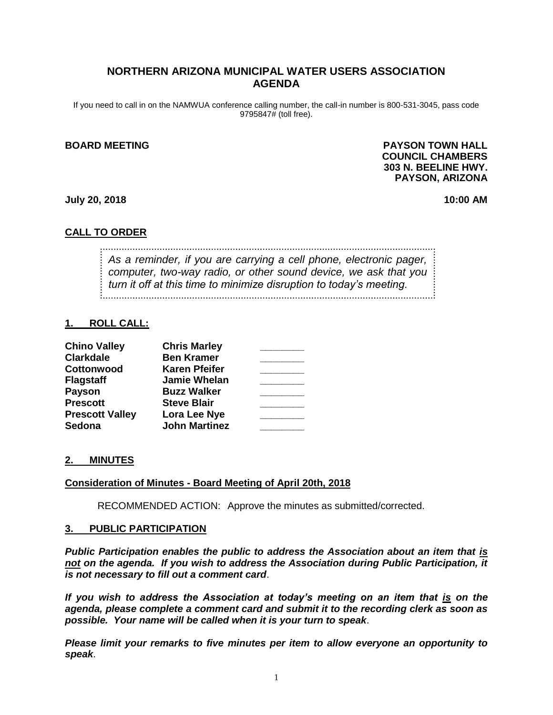# **NORTHERN ARIZONA MUNICIPAL WATER USERS ASSOCIATION AGENDA**

If you need to call in on the NAMWUA conference calling number, the call-in number is 800-531-3045, pass code 9795847# (toll free).

#### **BOARD MEETING PAYSON TOWN HALL COUNCIL CHAMBERS 303 N. BEELINE HWY. PAYSON, ARIZONA**

**July 20, 2018 10:00 AM**

#### **CALL TO ORDER**

*As a reminder, if you are carrying a cell phone, electronic pager, computer, two-way radio, or other sound device, we ask that you turn it off at this time to minimize disruption to today's meeting.*

#### **1. ROLL CALL:**

| <b>Chino Valley</b>    | <b>Chris Marley</b>  |  |
|------------------------|----------------------|--|
| <b>Clarkdale</b>       | <b>Ben Kramer</b>    |  |
| Cottonwood             | <b>Karen Pfeifer</b> |  |
| <b>Flagstaff</b>       | <b>Jamie Whelan</b>  |  |
| <b>Payson</b>          | <b>Buzz Walker</b>   |  |
| <b>Prescott</b>        | <b>Steve Blair</b>   |  |
| <b>Prescott Valley</b> | Lora Lee Nye         |  |
| <b>Sedona</b>          | <b>John Martinez</b> |  |

#### **2. MINUTES**

#### **Consideration of Minutes - Board Meeting of April 20th, 2018**

RECOMMENDED ACTION: Approve the minutes as submitted/corrected.

#### **3. PUBLIC PARTICIPATION**

*Public Participation enables the public to address the Association about an item that is not on the agenda. If you wish to address the Association during Public Participation, it is not necessary to fill out a comment card*.

*If you wish to address the Association at today's meeting on an item that is on the agenda, please complete a comment card and submit it to the recording clerk as soon as possible. Your name will be called when it is your turn to speak*.

*Please limit your remarks to five minutes per item to allow everyone an opportunity to speak*.